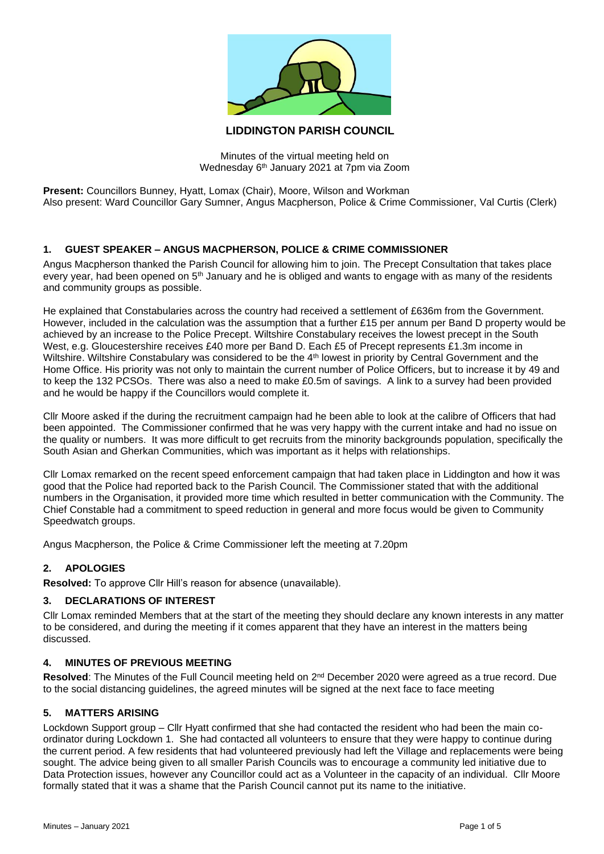

# **LIDDINGTON PARISH COUNCIL**

Minutes of the virtual meeting held on Wednesday 6th January 2021 at 7pm via Zoom

**Present:** Councillors Bunney, Hyatt, Lomax (Chair), Moore, Wilson and Workman Also present: Ward Councillor Gary Sumner, Angus Macpherson, Police & Crime Commissioner, Val Curtis (Clerk)

# **1. GUEST SPEAKER – ANGUS MACPHERSON, POLICE & CRIME COMMISSIONER**

Angus Macpherson thanked the Parish Council for allowing him to join. The Precept Consultation that takes place every year, had been opened on 5<sup>th</sup> January and he is obliged and wants to engage with as many of the residents and community groups as possible.

He explained that Constabularies across the country had received a settlement of £636m from the Government. However, included in the calculation was the assumption that a further £15 per annum per Band D property would be achieved by an increase to the Police Precept. Wiltshire Constabulary receives the lowest precept in the South West, e.g. Gloucestershire receives £40 more per Band D. Each £5 of Precept represents £1.3m income in Wiltshire. Wiltshire Constabulary was considered to be the 4<sup>th</sup> lowest in priority by Central Government and the Home Office. His priority was not only to maintain the current number of Police Officers, but to increase it by 49 and to keep the 132 PCSOs. There was also a need to make £0.5m of savings. A link to a survey had been provided and he would be happy if the Councillors would complete it.

Cllr Moore asked if the during the recruitment campaign had he been able to look at the calibre of Officers that had been appointed. The Commissioner confirmed that he was very happy with the current intake and had no issue on the quality or numbers. It was more difficult to get recruits from the minority backgrounds population, specifically the South Asian and Gherkan Communities, which was important as it helps with relationships.

Cllr Lomax remarked on the recent speed enforcement campaign that had taken place in Liddington and how it was good that the Police had reported back to the Parish Council. The Commissioner stated that with the additional numbers in the Organisation, it provided more time which resulted in better communication with the Community. The Chief Constable had a commitment to speed reduction in general and more focus would be given to Community Speedwatch groups.

Angus Macpherson, the Police & Crime Commissioner left the meeting at 7.20pm

# **2. APOLOGIES**

**Resolved:** To approve Cllr Hill's reason for absence (unavailable).

# **3. DECLARATIONS OF INTEREST**

Cllr Lomax reminded Members that at the start of the meeting they should declare any known interests in any matter to be considered, and during the meeting if it comes apparent that they have an interest in the matters being discussed.

# **4. MINUTES OF PREVIOUS MEETING**

Resolved: The Minutes of the Full Council meeting held on 2<sup>nd</sup> December 2020 were agreed as a true record. Due to the social distancing guidelines, the agreed minutes will be signed at the next face to face meeting

#### **5. MATTERS ARISING**

Lockdown Support group – Cllr Hyatt confirmed that she had contacted the resident who had been the main coordinator during Lockdown 1. She had contacted all volunteers to ensure that they were happy to continue during the current period. A few residents that had volunteered previously had left the Village and replacements were being sought. The advice being given to all smaller Parish Councils was to encourage a community led initiative due to Data Protection issues, however any Councillor could act as a Volunteer in the capacity of an individual. Cllr Moore formally stated that it was a shame that the Parish Council cannot put its name to the initiative.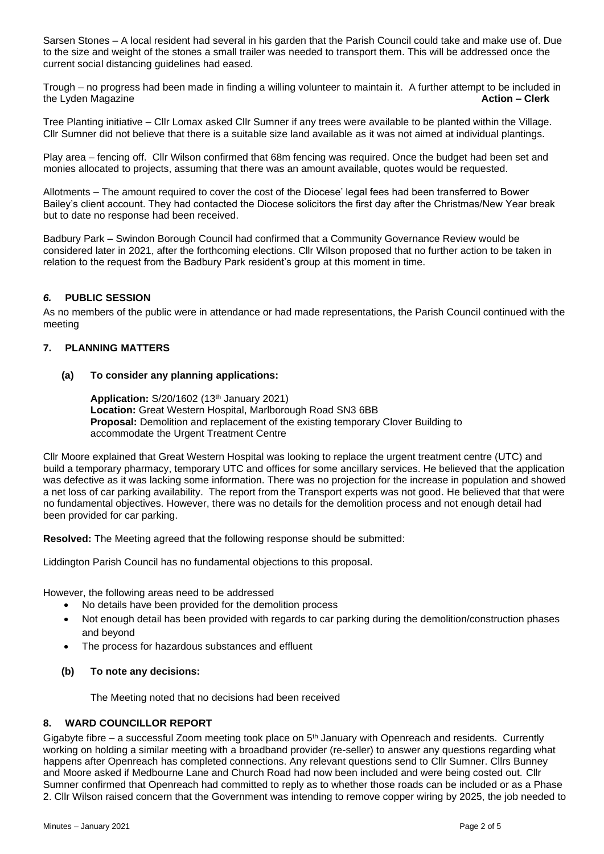Sarsen Stones – A local resident had several in his garden that the Parish Council could take and make use of. Due to the size and weight of the stones a small trailer was needed to transport them. This will be addressed once the current social distancing guidelines had eased.

Trough – no progress had been made in finding a willing volunteer to maintain it. A further attempt to be included in the Lyden Magazine **Action – Clerk**

Tree Planting initiative – Cllr Lomax asked Cllr Sumner if any trees were available to be planted within the Village. Cllr Sumner did not believe that there is a suitable size land available as it was not aimed at individual plantings.

Play area – fencing off. Cllr Wilson confirmed that 68m fencing was required. Once the budget had been set and monies allocated to projects, assuming that there was an amount available, quotes would be requested.

Allotments – The amount required to cover the cost of the Diocese' legal fees had been transferred to Bower Bailey's client account. They had contacted the Diocese solicitors the first day after the Christmas/New Year break but to date no response had been received.

Badbury Park – Swindon Borough Council had confirmed that a Community Governance Review would be considered later in 2021, after the forthcoming elections. Cllr Wilson proposed that no further action to be taken in relation to the request from the Badbury Park resident's group at this moment in time.

## *6.* **PUBLIC SESSION**

As no members of the public were in attendance or had made representations, the Parish Council continued with the meeting

### **7. PLANNING MATTERS**

#### **(a) To consider any planning applications:**

**Application:** S/20/1602 (13th January 2021) **Location:** Great Western Hospital, Marlborough Road SN3 6BB **Proposal:** Demolition and replacement of the existing temporary Clover Building to accommodate the Urgent Treatment Centre

Cllr Moore explained that Great Western Hospital was looking to replace the urgent treatment centre (UTC) and build a temporary pharmacy, temporary UTC and offices for some ancillary services. He believed that the application was defective as it was lacking some information. There was no projection for the increase in population and showed a net loss of car parking availability. The report from the Transport experts was not good. He believed that that were no fundamental objectives. However, there was no details for the demolition process and not enough detail had been provided for car parking.

**Resolved:** The Meeting agreed that the following response should be submitted:

Liddington Parish Council has no fundamental objections to this proposal.

However, the following areas need to be addressed

- No details have been provided for the demolition process
- Not enough detail has been provided with regards to car parking during the demolition/construction phases and beyond
- The process for hazardous substances and effluent
- **(b) To note any decisions:**

The Meeting noted that no decisions had been received

#### **8. WARD COUNCILLOR REPORT**

Gigabyte fibre – a successful Zoom meeting took place on  $5<sup>th</sup>$  January with Openreach and residents. Currently working on holding a similar meeting with a broadband provider (re-seller) to answer any questions regarding what happens after Openreach has completed connections. Any relevant questions send to Cllr Sumner. Cllrs Bunney and Moore asked if Medbourne Lane and Church Road had now been included and were being costed out. Cllr Sumner confirmed that Openreach had committed to reply as to whether those roads can be included or as a Phase 2. Cllr Wilson raised concern that the Government was intending to remove copper wiring by 2025, the job needed to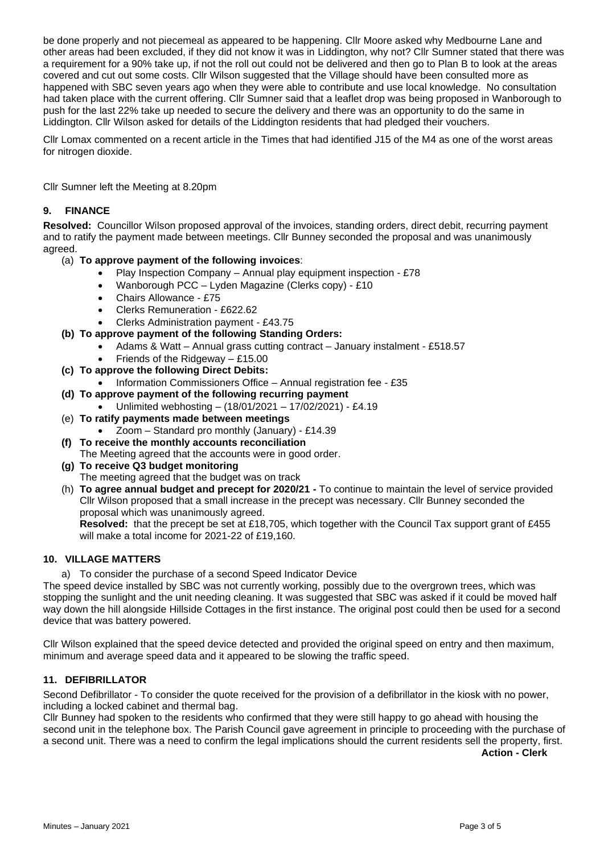be done properly and not piecemeal as appeared to be happening. Cllr Moore asked why Medbourne Lane and other areas had been excluded, if they did not know it was in Liddington, why not? Cllr Sumner stated that there was a requirement for a 90% take up, if not the roll out could not be delivered and then go to Plan B to look at the areas covered and cut out some costs. Cllr Wilson suggested that the Village should have been consulted more as happened with SBC seven years ago when they were able to contribute and use local knowledge. No consultation had taken place with the current offering. Cllr Sumner said that a leaflet drop was being proposed in Wanborough to push for the last 22% take up needed to secure the delivery and there was an opportunity to do the same in Liddington. Cllr Wilson asked for details of the Liddington residents that had pledged their vouchers.

Cllr Lomax commented on a recent article in the Times that had identified J15 of the M4 as one of the worst areas for nitrogen dioxide.

Cllr Sumner left the Meeting at 8.20pm

### **9. FINANCE**

**Resolved:** Councillor Wilson proposed approval of the invoices, standing orders, direct debit, recurring payment and to ratify the payment made between meetings. Cllr Bunney seconded the proposal and was unanimously agreed.

- (a) **To approve payment of the following invoices**:
	- Play Inspection Company Annual play equipment inspection £78
	- Wanborough PCC Lyden Magazine (Clerks copy) £10
	- Chairs Allowance £75
	- Clerks Remuneration £622.62
	- Clerks Administration payment £43.75
- **(b) To approve payment of the following Standing Orders:**
	- Adams & Watt Annual grass cutting contract January instalment £518.57
	- Friends of the Ridgeway  $-$  £15.00
- **(c) To approve the following Direct Debits:**
	- Information Commissioners Office Annual registration fee £35
- **(d) To approve payment of the following recurring payment**
	- Unlimited webhosting (18/01/2021 17/02/2021) £4.19
- (e) **To ratify payments made between meetings**
	- Zoom Standard pro monthly (January) £14.39
- **(f) To receive the monthly accounts reconciliation**
	- The Meeting agreed that the accounts were in good order.
- **(g) To receive Q3 budget monitoring** The meeting agreed that the budget was on track
- (h) **To agree annual budget and precept for 2020/21 -** To continue to maintain the level of service provided Cllr Wilson proposed that a small increase in the precept was necessary. Cllr Bunney seconded the proposal which was unanimously agreed.

**Resolved:** that the precept be set at £18,705, which together with the Council Tax support grant of £455 will make a total income for 2021-22 of £19,160.

## **10. VILLAGE MATTERS**

a) To consider the purchase of a second Speed Indicator Device

The speed device installed by SBC was not currently working, possibly due to the overgrown trees, which was stopping the sunlight and the unit needing cleaning. It was suggested that SBC was asked if it could be moved half way down the hill alongside Hillside Cottages in the first instance. The original post could then be used for a second device that was battery powered.

Cllr Wilson explained that the speed device detected and provided the original speed on entry and then maximum, minimum and average speed data and it appeared to be slowing the traffic speed.

#### **11. DEFIBRILLATOR**

Second Defibrillator - To consider the quote received for the provision of a defibrillator in the kiosk with no power, including a locked cabinet and thermal bag.

Cllr Bunney had spoken to the residents who confirmed that they were still happy to go ahead with housing the second unit in the telephone box. The Parish Council gave agreement in principle to proceeding with the purchase of a second unit. There was a need to confirm the legal implications should the current residents sell the property, first.

**Action - Clerk**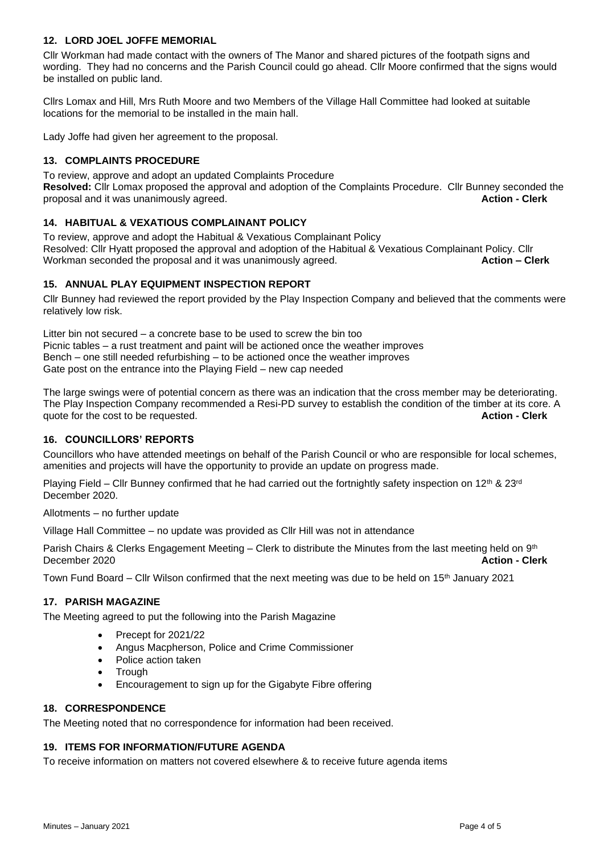# **12. LORD JOEL JOFFE MEMORIAL**

Cllr Workman had made contact with the owners of The Manor and shared pictures of the footpath signs and wording. They had no concerns and the Parish Council could go ahead. Cllr Moore confirmed that the signs would be installed on public land.

Cllrs Lomax and Hill, Mrs Ruth Moore and two Members of the Village Hall Committee had looked at suitable locations for the memorial to be installed in the main hall.

Lady Joffe had given her agreement to the proposal.

# **13. COMPLAINTS PROCEDURE**

To review, approve and adopt an updated Complaints Procedure

**Resolved:** Cllr Lomax proposed the approval and adoption of the Complaints Procedure. Cllr Bunney seconded the proposal and it was unanimously agreed. proposal and it was unanimously agreed.

# **14. HABITUAL & VEXATIOUS COMPLAINANT POLICY**

To review, approve and adopt the Habitual & Vexatious Complainant Policy Resolved: Clir Hyatt proposed the approval and adoption of the Habitual & Vexatious Complainant Policy. Clir<br>Workman seconded the proposal and it was unanimously agreed. **Action Action - Clerk** Workman seconded the proposal and it was unanimously agreed.

## **15. ANNUAL PLAY EQUIPMENT INSPECTION REPORT**

Cllr Bunney had reviewed the report provided by the Play Inspection Company and believed that the comments were relatively low risk.

Litter bin not secured – a concrete base to be used to screw the bin too Picnic tables – a rust treatment and paint will be actioned once the weather improves Bench – one still needed refurbishing – to be actioned once the weather improves Gate post on the entrance into the Playing Field – new cap needed

The large swings were of potential concern as there was an indication that the cross member may be deteriorating. The Play Inspection Company recommended a Resi-PD survey to establish the condition of the timber at its core. A quote for the cost to be requested. **Action - Clerk**

## **16. COUNCILLORS' REPORTS**

Councillors who have attended meetings on behalf of the Parish Council or who are responsible for local schemes, amenities and projects will have the opportunity to provide an update on progress made.

Playing Field – Cllr Bunney confirmed that he had carried out the fortnightly safety inspection on 12<sup>th</sup> & 23<sup>rd</sup> December 2020.

Allotments – no further update

Village Hall Committee – no update was provided as Cllr Hill was not in attendance

Parish Chairs & Clerks Engagement Meeting – Clerk to distribute the Minutes from the last meeting held on 9<sup>th</sup> December 2020 **Action - Clerk**

Town Fund Board – Cllr Wilson confirmed that the next meeting was due to be held on  $15<sup>th</sup>$  January 2021

#### **17. PARISH MAGAZINE**

The Meeting agreed to put the following into the Parish Magazine

- Precept for 2021/22
- Angus Macpherson, Police and Crime Commissioner
- Police action taken
- **Trough**
- Encouragement to sign up for the Gigabyte Fibre offering

#### **18. CORRESPONDENCE**

The Meeting noted that no correspondence for information had been received.

#### **19. ITEMS FOR INFORMATION/FUTURE AGENDA**

To receive information on matters not covered elsewhere & to receive future agenda items